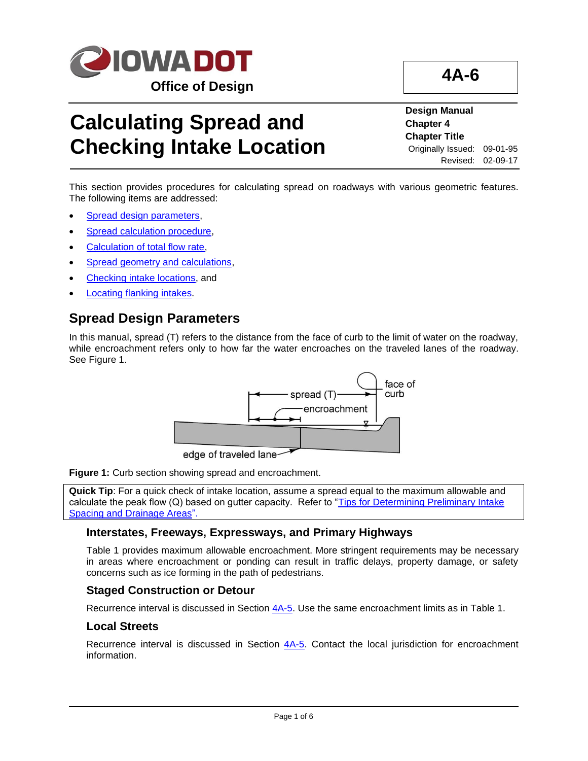

# **Calculating Spread and Checking Intake Location**

**Design Manual Chapter 4 Chapter Title** Originally Issued: 09-01-95 Revised: 02-09-17

**4A-6**

This section provides procedures for calculating spread on roadways with various geometric features. The following items are addressed:

- [Spread design parameters,](#page-0-0)
- [Spread calculation procedure,](#page-1-0)
- [Calculation of total flow rate,](#page-1-1)
- [Spread geometry and calculations,](#page-2-0)
- [Checking intake locations,](#page-4-0) and
- [Locating flanking intakes.](#page-4-1)

## <span id="page-0-0"></span>**Spread Design Parameters**

In this manual, spread (T) refers to the distance from the face of curb to the limit of water on the roadway, while encroachment refers only to how far the water encroaches on the traveled lanes of the roadway. See Figure 1.



**Figure 1:** Curb section showing spread and encroachment.

**Quick Tip**: For a quick check of intake location, assume a spread equal to the maximum allowable and calculate the peak flow (Q) based on gutter capacity. Refer to "Tips for Determining Preliminary Intake [Spacing and Drainage Areas"](04a-06/Tips.pdf).

### **Interstates, Freeways, Expressways, and Primary Highways**

Table 1 provides maximum allowable encroachment. More stringent requirements may be necessary in areas where encroachment or ponding can result in traffic delays, property damage, or safety concerns such as ice forming in the path of pedestrians.

### **Staged Construction or Detour**

Recurrence interval is discussed in Section [4A-5.](04a-05.pdf) Use the same encroachment limits as in Table 1.

### **Local Streets**

Recurrence interval is discussed in Section  $4A-5$ . Contact the local jurisdiction for encroachment information.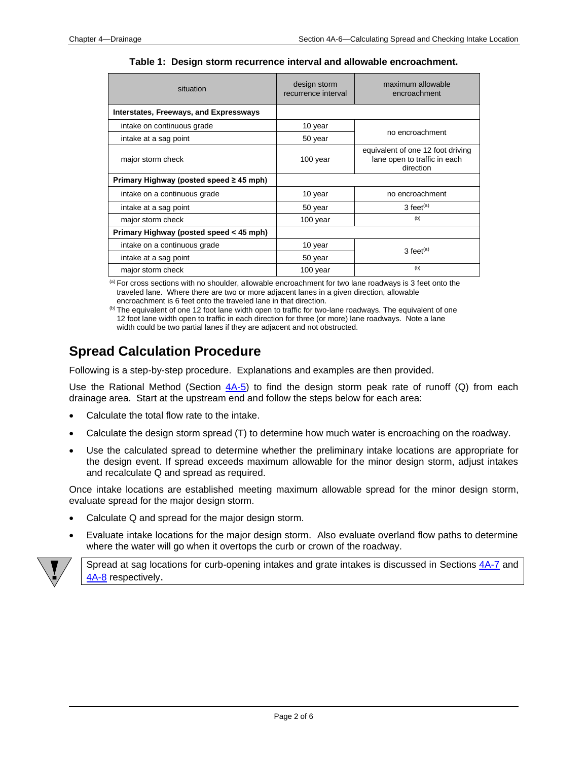| situation                                     | design storm<br>recurrence interval | maximum allowable<br>encroachment                                              |
|-----------------------------------------------|-------------------------------------|--------------------------------------------------------------------------------|
| <b>Interstates, Freeways, and Expressways</b> |                                     |                                                                                |
| intake on continuous grade                    | 10 year                             | no encroachment                                                                |
| intake at a sag point                         | 50 year                             |                                                                                |
| major storm check                             | 100 year                            | equivalent of one 12 foot driving<br>lane open to traffic in each<br>direction |
| Primary Highway (posted speed $\geq$ 45 mph)  |                                     |                                                                                |
| intake on a continuous grade                  | 10 year                             | no encroachment                                                                |
| intake at a sag point                         | 50 year                             | $3$ feet <sup>(a)</sup>                                                        |
| major storm check                             | 100 year                            | (b)                                                                            |
| Primary Highway (posted speed < 45 mph)       |                                     |                                                                                |
| intake on a continuous grade                  | 10 year                             | $3$ feet <sup>(a)</sup>                                                        |
| intake at a sag point                         | 50 year                             |                                                                                |
| major storm check                             | 100 year                            | (b)                                                                            |

**Table 1: Design storm recurrence interval and allowable encroachment.**

(a) For cross sections with no shoulder, allowable encroachment for two lane roadways is 3 feet onto the traveled lane. Where there are two or more adjacent lanes in a given direction, allowable encroachment is 6 feet onto the traveled lane in that direction.

(b) The equivalent of one 12 foot lane width open to traffic for two-lane roadways. The equivalent of one 12 foot lane width open to traffic in each direction for three (or more) lane roadways. Note a lane width could be two partial lanes if they are adjacent and not obstructed.

## <span id="page-1-0"></span>**Spread Calculation Procedure**

Following is a step-by-step procedure. Explanations and examples are then provided.

Use the Rational Method (Section  $4A-5$ ) to find the design storm peak rate of runoff (Q) from each drainage area. Start at the upstream end and follow the steps below for each area:

- Calculate the total flow rate to the intake.
- Calculate the design storm spread (T) to determine how much water is encroaching on the roadway.
- Use the calculated spread to determine whether the preliminary intake locations are appropriate for the design event. If spread exceeds maximum allowable for the minor design storm, adjust intakes and recalculate Q and spread as required.

Once intake locations are established meeting maximum allowable spread for the minor design storm, evaluate spread for the major design storm.

- Calculate Q and spread for the major design storm.
- Evaluate intake locations for the major design storm. Also evaluate overland flow paths to determine where the water will go when it overtops the curb or crown of the roadway.



<span id="page-1-1"></span>Spread at sag locations for curb-opening intakes and grate intakes is discussed in Sections [4A-7](04a-07.pdf) and [4A-8](04a-08.pdf) respectively.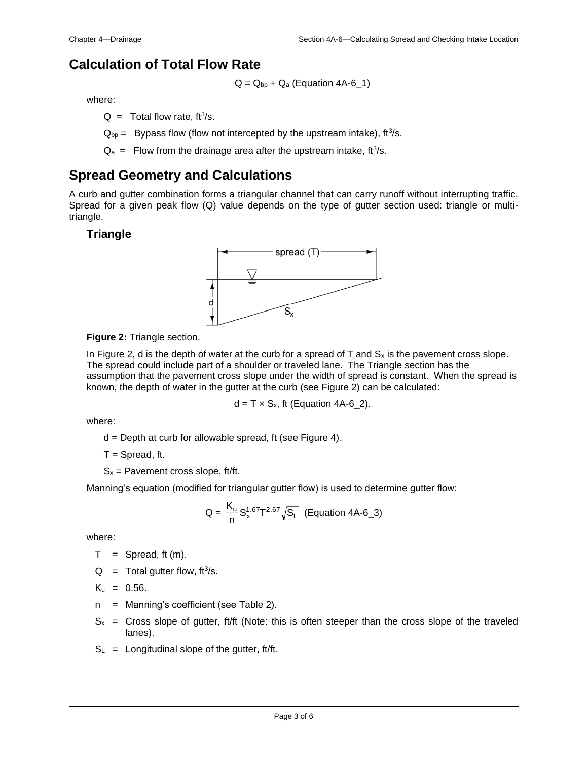## **Calculation of Total Flow Rate**

 $Q = Q_{bp} + Q_a$  (Equation 4A-6\_1)

where:

 $Q =$  Total flow rate, ft<sup>3</sup>/s.

 $Q_{bp}$  = Bypass flow (flow not intercepted by the upstream intake), ft<sup>3</sup>/s.

 $Q_a$  = Flow from the drainage area after the upstream intake, ft<sup>3</sup>/s.

## <span id="page-2-0"></span>**Spread Geometry and Calculations**

A curb and gutter combination forms a triangular channel that can carry runoff without interrupting traffic. Spread for a given peak flow (Q) value depends on the type of gutter section used: triangle or multitriangle.

## **Triangle**



#### **Figure 2:** Triangle section.

In Figure 2, d is the depth of water at the curb for a spread of  $T$  and  $S_x$  is the pavement cross slope. The spread could include part of a shoulder or traveled lane. The Triangle section has the assumption that the pavement cross slope under the width of spread is constant. When the spread is known, the depth of water in the gutter at the curb (see Figure 2) can be calculated:

 $d = T \times S_x$ , ft (Equation 4A-6 2).

where:

d = Depth at curb for allowable spread, ft (see Figure 4).

 $T =$  Spread, ft.

 $S_x$  = Pavement cross slope, ft/ft.

Manning's equation (modified for triangular gutter flow) is used to determine gutter flow:

$$
Q = \frac{K_{u}}{n} S_{x}^{1.67} T^{2.67} \sqrt{S_{L}}
$$
 (Equation 4A-6\_3)

where:

$$
T =
$$
 Spread, ft (m).

 $Q =$  Total gutter flow, ft<sup>3</sup>/s.

$$
K_u = 0.56.
$$

- n = Manning's coefficient (see Table 2).
- $S_x$  = Cross slope of gutter, ft/ft (Note: this is often steeper than the cross slope of the traveled lanes).
- $S_L$  = Longitudinal slope of the gutter, ft/ft.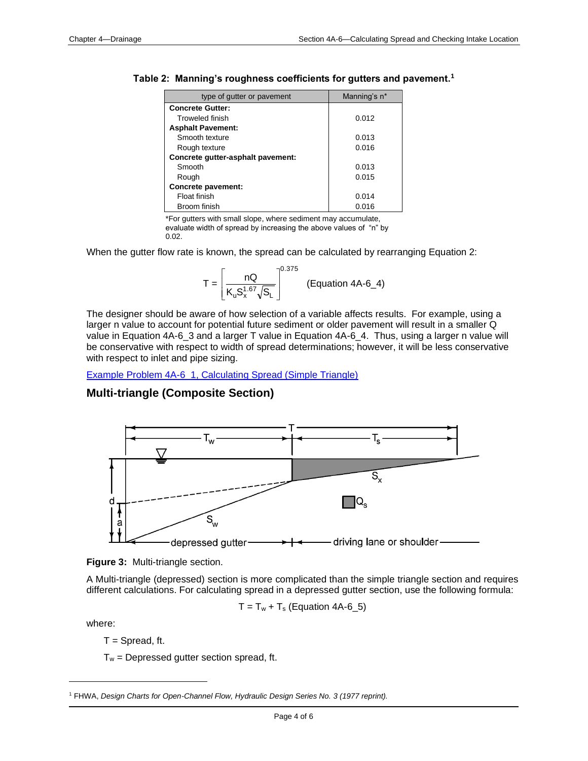| type of gutter or pavement        | Manning's n* |
|-----------------------------------|--------------|
| <b>Concrete Gutter:</b>           |              |
| <b>Troweled finish</b>            | 0.012        |
| <b>Asphalt Pavement:</b>          |              |
| Smooth texture                    | 0.013        |
| Rough texture                     | 0.016        |
| Concrete gutter-asphalt pavement: |              |
| Smooth                            | 0.013        |
| Rough                             | 0.015        |
| Concrete pavement:                |              |
| Float finish                      | 0.014        |
| Broom finish                      | 0.016        |

| Table 2: Manning's roughness coefficients for gutters and pavement. <sup>1</sup> |
|----------------------------------------------------------------------------------|
|----------------------------------------------------------------------------------|

\*For gutters with small slope, where sediment may accumulate,

evaluate width of spread by increasing the above values of "n" by 0.02.

When the gutter flow rate is known, the spread can be calculated by rearranging Equation 2:

$$
T = \left[\frac{nQ}{K_u S_x^{1.67} \sqrt{S_L}}\right]^{0.375}
$$
 (Equation 4A-6\_4)

The designer should be aware of how selection of a variable affects results. For example, using a larger n value to account for potential future sediment or older pavement will result in a smaller Q value in Equation 4A-6\_3 and a larger T value in Equation 4A-6\_4. Thus, using a larger n value will be conservative with respect to width of spread determinations; however, it will be less conservative with respect to inlet and pipe sizing.

[Example Problem 4A-6\\_1, Calculating Spread \(Simple Triangle\)](04a-06/Example_1_4A_6.pdf)

## **Multi-triangle (Composite Section)**





A Multi-triangle (depressed) section is more complicated than the simple triangle section and requires different calculations. For calculating spread in a depressed gutter section, use the following formula:

 $T = T_w + T_s$  (Equation 4A-6\_5)

where:

 $T =$  Spread, ft.

 $T_w$  = Depressed gutter section spread, ft.

<sup>1</sup> FHWA, *Design Charts for Open-Channel Flow, Hydraulic Design Series No. 3 (1977 reprint).*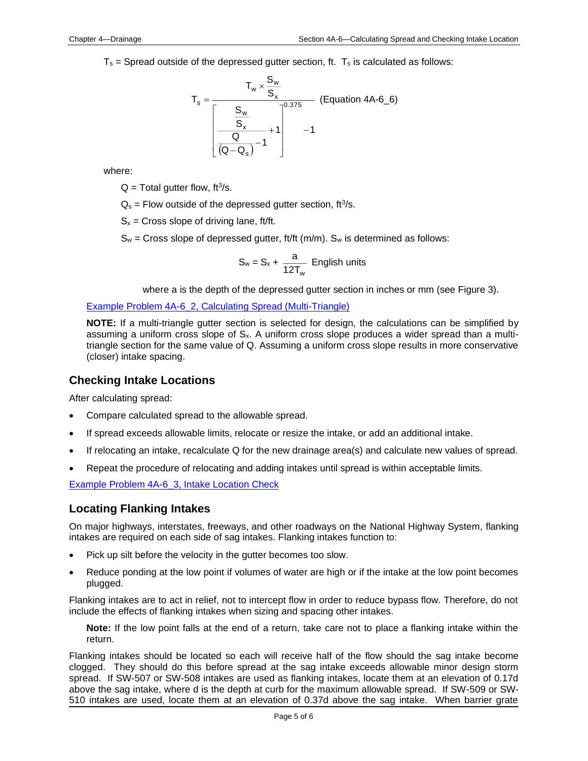$T_s$  = Spread outside of the depressed gutter section, ft.  $T_s$  is calculated as follows:

$$
T_s = \frac{T_w \times \frac{S_w}{S_x}}{\left[\frac{S_w}{S_x} - \frac{1}{1}\right]^{0.375}}
$$
 (Equation 4A-6<sub>6</sub>)  

$$
-1
$$

where:

 $Q = \text{Total gutter flow}, \, \text{ft}^3/\text{s}.$ 

 $Q_s$  = Flow outside of the depressed gutter section, ft<sup>3</sup>/s.

 $S_x$  = Cross slope of driving lane, ft/ft.

 $S_w$  = Cross slope of depressed gutter, ft/ft (m/m).  $S_w$  is determined as follows:

$$
S_w = S_x + \frac{a}{12T_w}
$$
 English units

where a is the depth of the depressed gutter section in inches or mm (see Figure 3).

[Example Problem 4A-6\\_2, Calculating Spread \(Multi-Triangle\)](04a-06/Example_2_4A_6.pdf)

**NOTE:** If a multi-triangle gutter section is selected for design, the calculations can be simplified by assuming a uniform cross slope of  $S<sub>x</sub>$ . A uniform cross slope produces a wider spread than a multitriangle section for the same value of Q. Assuming a uniform cross slope results in more conservative (closer) intake spacing.

#### <span id="page-4-0"></span>**Checking Intake Locations**

After calculating spread:

- Compare calculated spread to the allowable spread.
- If spread exceeds allowable limits, relocate or resize the intake, or add an additional intake.
- If relocating an intake, recalculate Q for the new drainage area(s) and calculate new values of spread.
- Repeat the procedure of relocating and adding intakes until spread is within acceptable limits.

[Example Problem 4A-6\\_3, Intake Location Check](04a-06/Example_3_4A_6.pdf)

### <span id="page-4-1"></span>**Locating Flanking Intakes**

On major highways, interstates, freeways, and other roadways on the National Highway System, flanking intakes are required on each side of sag intakes. Flanking intakes function to:

- Pick up silt before the velocity in the gutter becomes too slow.
- Reduce ponding at the low point if volumes of water are high or if the intake at the low point becomes plugged.

Flanking intakes are to act in relief, not to intercept flow in order to reduce bypass flow. Therefore, do not include the effects of flanking intakes when sizing and spacing other intakes.

**Note:** If the low point falls at the end of a return, take care not to place a flanking intake within the return.

Flanking intakes should be located so each will receive half of the flow should the sag intake become clogged. They should do this before spread at the sag intake exceeds allowable minor design storm spread. If SW-507 or SW-508 intakes are used as flanking intakes, locate them at an elevation of 0.17d above the sag intake, where d is the depth at curb for the maximum allowable spread. If SW-509 or SW-510 intakes are used, locate them at an elevation of 0.37d above the sag intake. When barrier grate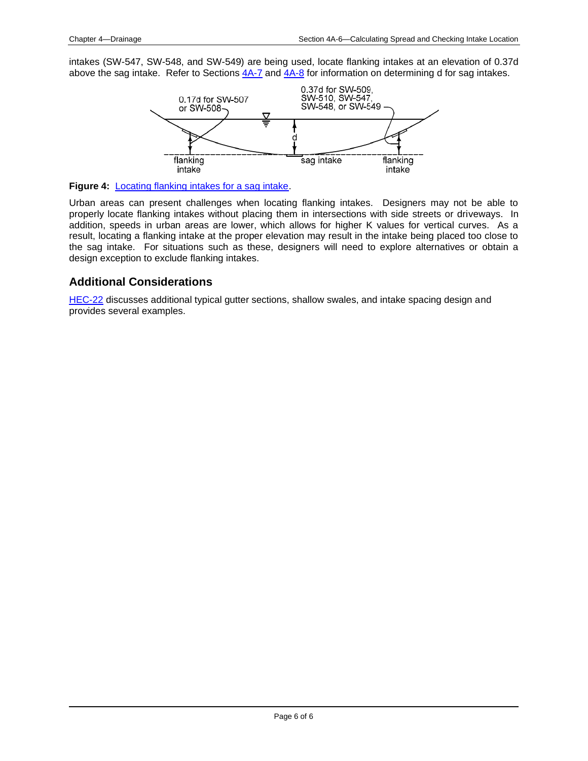intakes (SW-547, SW-548, and SW-549) are being used, locate flanking intakes at an elevation of 0.37d above the sag intake. Refer to Sections [4A-7](04a-07.pdf) and [4A-8](04a-08.pdf) for information on determining d for sag intakes.



**Figure 4:** [Locating flanking intakes for a sag intake.](04a-06/Locating_Flanking_Intakes_for_a_Sag_Intake.pdf)

Urban areas can present challenges when locating flanking intakes. Designers may not be able to properly locate flanking intakes without placing them in intersections with side streets or driveways. In addition, speeds in urban areas are lower, which allows for higher K values for vertical curves. As a result, locating a flanking intake at the proper elevation may result in the intake being placed too close to the sag intake. For situations such as these, designers will need to explore alternatives or obtain a design exception to exclude flanking intakes.

### **Additional Considerations**

[HEC-22](http://www.fhwa.dot.gov/engineering/hydraulics/pubs/10009/10009.pdf) discusses additional typical gutter sections, shallow swales, and intake spacing design and provides several examples.